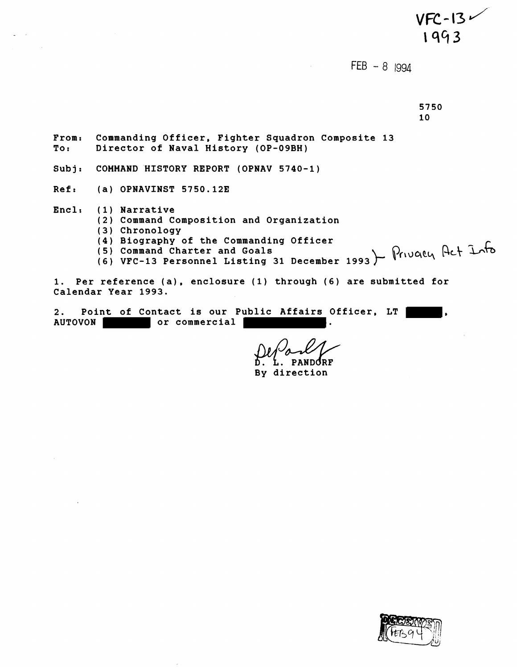$VFC-13$ 1993  $FEB - 8$  |994 5750 10 **From: Commanding Officer, Fighter Squadron Composite 13 To: Director of Naval History (OP-O9BH) Subj: COMMAND HISTORY REPORT (OPNAV 5740-1) Ref: (a) OPNAVINST 5750.123 Encl; (1) Narrative (2) Command Composition and Organization (3) Chronology (4) Biography of the Commanding Officer (5) Command Charter and Goals (6) VFC-13 Personnel Listing 31 December 1993 1. Per reference (a), enclosure (1) through (6) are submitted for Calendar Year 1993. 2. Point of Contact is our Public Affairs Officer, LT ,**  AUTOVON or commercial **discussed**.

ndrr

**By direction** 

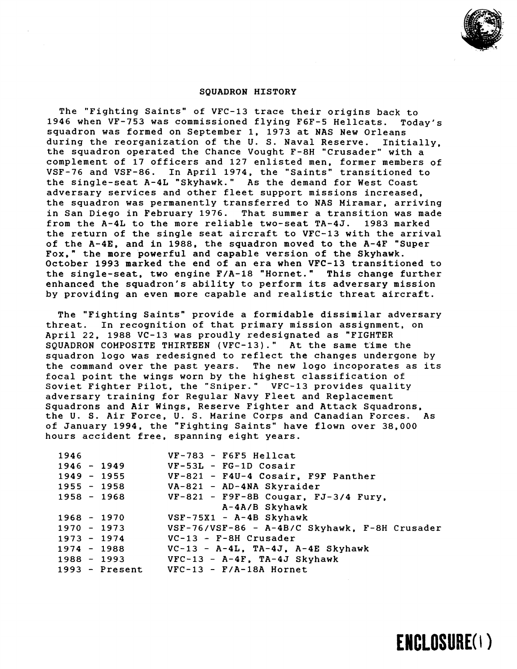

ENCLOSURE(1)

## SQUADRON HISTORY

The "Fighting Saints" of VFC-13 trace their origins back to 1946 when VF-753 was commissioned flying F6F-5 Hellcats. Today's squadron was formed on September 1, 1973 at NAS New Orleans during the reorganization of the U. S. Naval Reserve. Initially, the squadron operated the Chance Vought F-8H "Crusader" with a complement of 17 officers and 127 enlisted men, former members of VSF-76 and VSF-86. In April 1974, the "Saints" transitioned to the single-seat A-4L "Skyhawk." As the demand for West Coast adversary services and other fleet support missions increased, the squadron was permanently transferred to NAS Miramar, arriving in San Diego in February 1976. That summer a transition was made from the A-4L to the more reliable two-seat TA-4J. 1983 marked the return of the single seat aircraft to VFC-13 with the arrival of the A-4E, and in 1988, the squadron moved to the A-4F "Super Fox," the more powerful and capable version of the Skyhawk. October 1993 marked the end of an era when VFC-13 transitioned to the single-seat, two engine F/A-18 "Hornet." This change further enhanced the squadron's ability to perform its adversary mission by providing an even more capable and realistic threat aircraft.

The "Fighting Saints" provide a formidable dissimilar adversary threat. In recognition of that primary mission assignment, on April 22, 1988 VC-13 was proudly redesignated as "FIGHTER SQUADRON COMPOSITE THIRTEEN (VFC-13)." At the same time the squadron logo was redesigned to reflect the changes undergone by the command over the past years. The new logo incoporates as its focal point the wings worn by the highest classification of Soviet Fighter Pilot, the "Sniper." VFC-13 provides quality adversary training for Regular Navy Fleet and Replacement Squadrons and Air Wings, Reserve Fighter and Attack Squadrons. the U. S. Air Force, **U.** S. Marine Corps and Canadian Forces. As of January 1994, the "Fighting Saints" have flown over 38,000 hours accident free, spanning eight years.

| 1946          |               | $VF-783$ - F6F5 Hellcat                       |
|---------------|---------------|-----------------------------------------------|
| $1946 - 1949$ |               | $VF-53L$ - $FG-1D$ Cosair                     |
| $1949 - 1955$ |               | VF-821 - F4U-4 Cosair, F9F Panther            |
|               | 1955 - 1958   | VA-821 - AD-4NA Skyraider                     |
|               | 1958 - 1968   | $VF-821$ - $F9F-8B$ Cougar, $FJ-3/4$ Fury,    |
|               |               | A-4A/B Skyhawk                                |
| $1968 - 1970$ |               | $VSF-75X1 - A-4B$ Skyhawk                     |
| $1970 - 1973$ |               | VSF-76/VSF-86 - A-4B/C Skyhawk, F-8H Crusader |
| $1973 - 1974$ |               | VC-13 - F-8H Crusader                         |
|               | $1974 - 1988$ | $VC-13 - A-4L$ , $TA-4J$ , $A-4E$ Skyhawk     |
|               | $1988 - 1993$ | $VFC-13 - A-4F$ , TA-4J Skyhawk               |
|               |               | $1993$ - Present VFC-13 - F/A-18A Hornet      |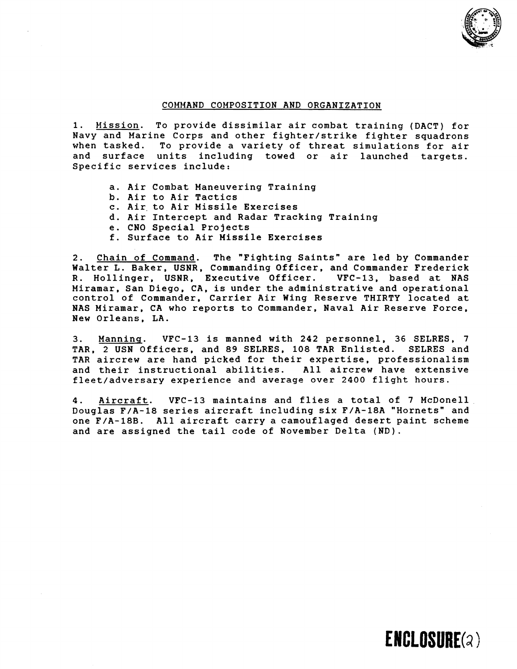

## COMMAND COMPOSITION AND ORGANIZATION

1. Mission. To provide dissimilar air combat training (DACT) for Navy and Marine Corps and other fighter/strike fighter squadrons To provide a variety of threat simulations for air and surface units including towed or air launched targets. Specific services include:

- a. Air Combat Maneuvering Training
- b. Air to Air Tactics
- c. Air. to Air Missile Exercises
- d. Air Intercept and Radar Tracking Training
- e. CNO Special Projects
- f. Surface to Air Missile Exercises

2. Chain of Command. The "Fighting Saints" are led by Commander Walter L. Baker, USNR, Commanding Officer, and Commander Frederick R. Hollinger, USNR, Executive Officer. VFC-13, based at WAS Miramar, San Diego, CA, is under the administrative and operational control of Commander, Carrier Air Wing Reserve THIRTY located at NAS Miramar, CA who reports to Commander, Naval Air Reserve Force, New Orleans, LA.

3. Manninq. VFC-13 is manned with 242 personnel, 36 SELRES, 7 TAR, 2 USN Officers, and 89 SELRES, 108 TAR Enlisted. SELRES and TAR aircrew are hand picked for their expertise, professionalism and their instructional abilities. All aircrew have extensive fleet/adversary experience and average over 2400 flight hours.

**4.** Aircraft. VFC-13 maintains and flies a total of 7 McDonell Douglas F/A-18 series aircraft including six F/A-18A "Hornets" and one F/A-18B. All aircraft carry a camouflaged desert paint scheme and are assigned the tail code of November Delta (ND).